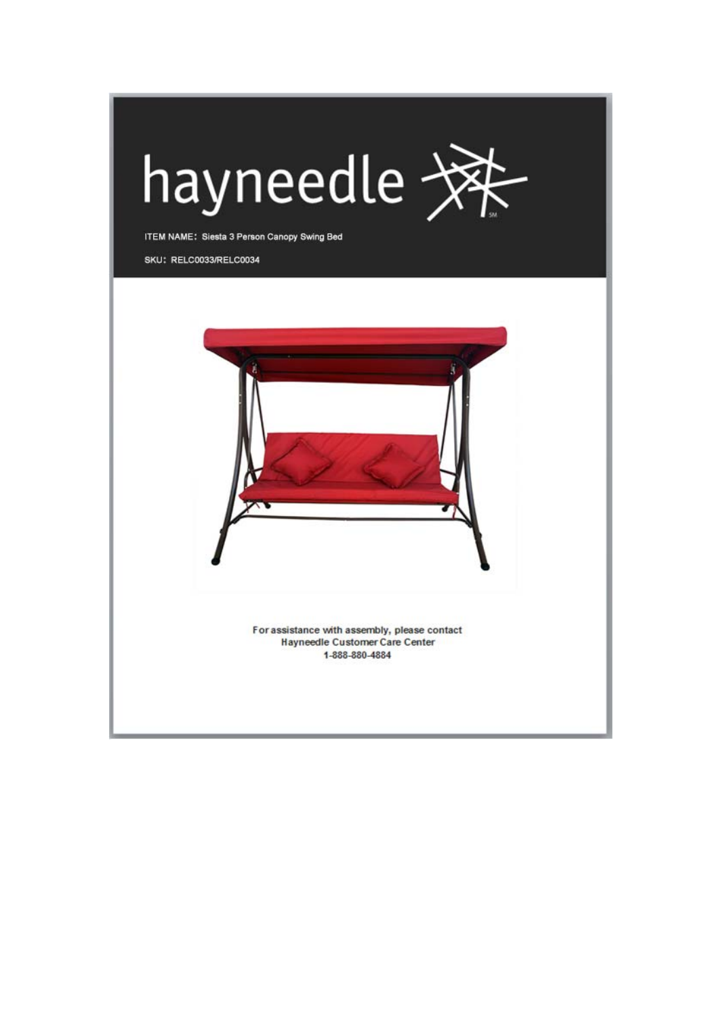

ITEM NAME: Siesta 3 Person Canopy Swing Bed

SKU: RELC0033/RELC0034

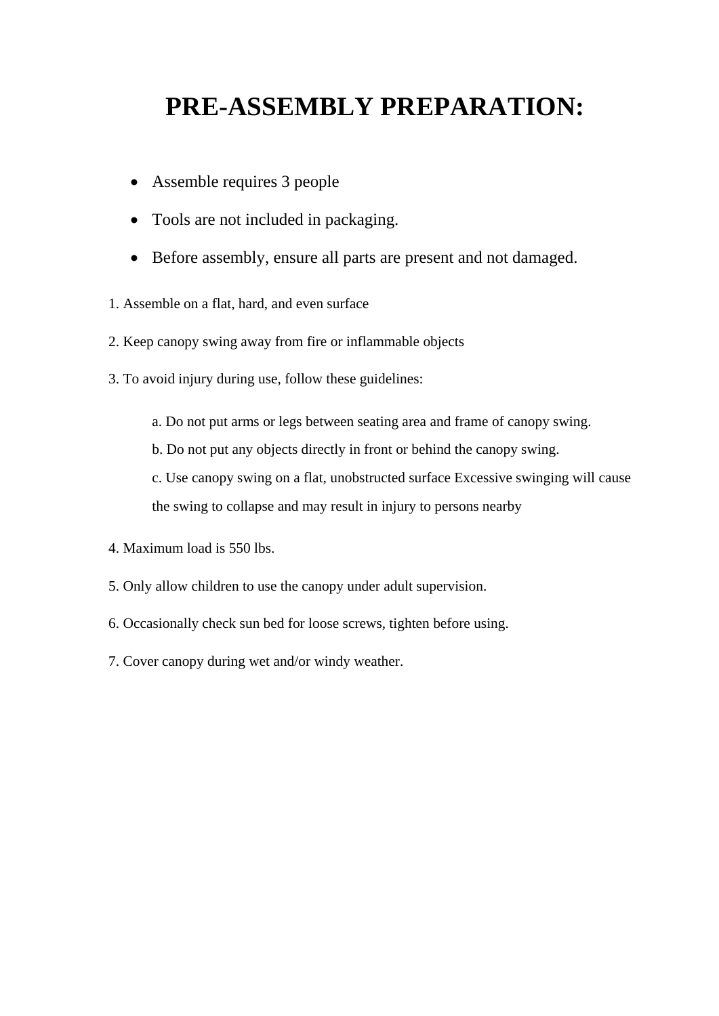## **PRE-ASSEMBLY PREPARATION:**

- Assemble requires 3 people
- Tools are not included in packaging.
- Before assembly, ensure all parts are present and not damaged.
- 1. Assemble on a flat, hard, and even surface
- 2. Keep canopy swing away from fire or inflammable objects
- 3. To avoid injury during use, follow these guidelines:
	- a. Do not put arms or legs between seating area and frame of canopy swing.
	- b. Do not put any objects directly in front or behind the canopy swing.
	- c. Use canopy swing on a flat, unobstructed surface Excessive swinging will cause the swing to collapse and may result in injury to persons nearby
- 4. Maximum load is 550 lbs.
- 5. Only allow children to use the canopy under adult supervision.
- 6. Occasionally check sun bed for loose screws, tighten before using.
- 7. Cover canopy during wet and/or windy weather.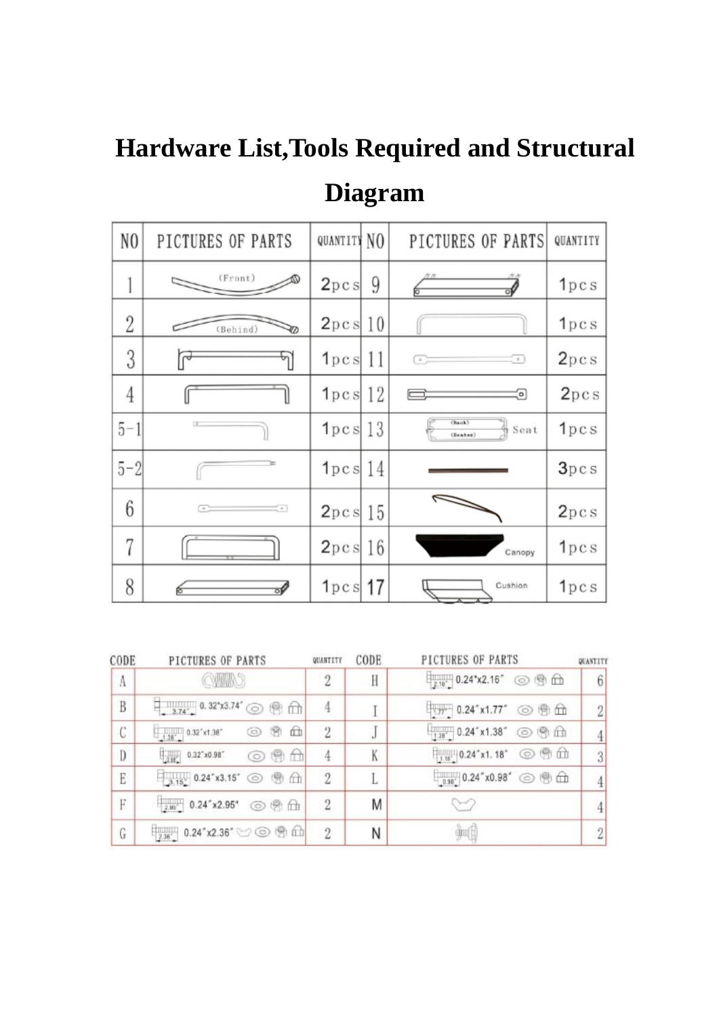## **Hardware List,Tools Required and Structural Diagram**

| N <sub>0</sub> | PICTURES OF PARTS | QUANTITY NO  |    | PICTURES OF PARTS                      | QUANTITY |
|----------------|-------------------|--------------|----|----------------------------------------|----------|
|                | (Front)           | 2pc s        | 9  |                                        | 1pcs     |
| 2              | (Behind)          | 2pc s        | 10 |                                        | 1pcs     |
| 3              |                   | 1pc s        | 11 | $\sim$<br>$\sim$                       | 2pcs     |
| 4              |                   | $1pc s$ 12   |    | o)                                     | 2pcs     |
| $5 - 1$        |                   | $1pc s$   13 |    | (Back)<br>Seat<br>( <sub>start</sub> ) | 1pcs     |
| $5 - 2$        |                   | $1pc s$ 14   |    |                                        | 3pcs     |
| 6              | $\pm$<br>$\,$     | 2pc s        | 15 |                                        | 2pcs     |
| 7              |                   | 2pc s        | 16 | Canopy                                 | 1pcs     |
| 8              |                   | 1pc s        | 17 | Cushion                                | 1pcs     |

| CODE                    | PICTURES OF PARTS                                                                           | QUANTITY       | CODE         | PICTURES OF PARTS                               | QUANTITY       |
|-------------------------|---------------------------------------------------------------------------------------------|----------------|--------------|-------------------------------------------------|----------------|
| A                       | QWAD                                                                                        |                | H            | $\frac{1}{2.16}$ 0.24"x2.16" © 9 m              | 6              |
| $\overline{\mathbf{B}}$ | $\frac{1}{2}$ 3.74°, 0.32°x3.74° © @ m                                                      |                |              | □: n 0.24"x1.77" ◎ 图 血                          | $\overline{2}$ |
| С                       | $\frac{1.38^{\circ}}{1.38^{\circ}}$ 0.32"x1.38" $\bigcirc$ $\bigcirc$ $\bigcirc$ $\bigcirc$ | $\overline{2}$ | $\mathbf{J}$ | $\frac{1}{1.38}$ 0.24" x1.38" $\odot$ $\odot$ m |                |
| D                       | $\mathbb{H}$ 0.32"x0.98" $\odot$ (9 $\oplus$                                                |                | K            | $\frac{1}{100}$ 0.24"x1.18" © 9 m               | 3              |
| E                       | 3.15 0.24 x3.15 ◎ 图 血                                                                       | 2              |              | $_{-0.96}$ 0.24" x0.98" $\odot$ @ m             |                |
| F                       | $\frac{1}{2.85}$ 0.24"x2.95" © @ m                                                          | $\overline{2}$ | Μ            |                                                 |                |
| G                       | $\frac{1}{2.36}$ 0.24" x2.36" $\circledcirc$ $\circledcirc$ $\circledcirc$ $\circledcirc$   | $\mathfrak{D}$ | Ν            | m                                               |                |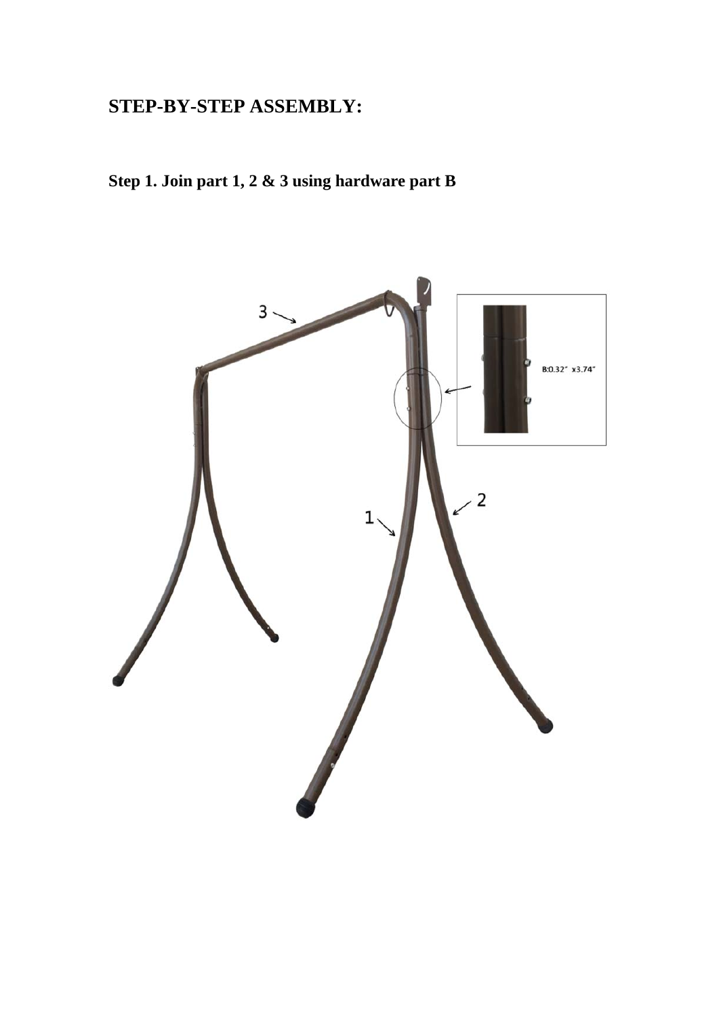## **STEP-BY-STEP ASSEMBLY:**

**Step 1. Join part 1, 2 & 3 using hardware part B**

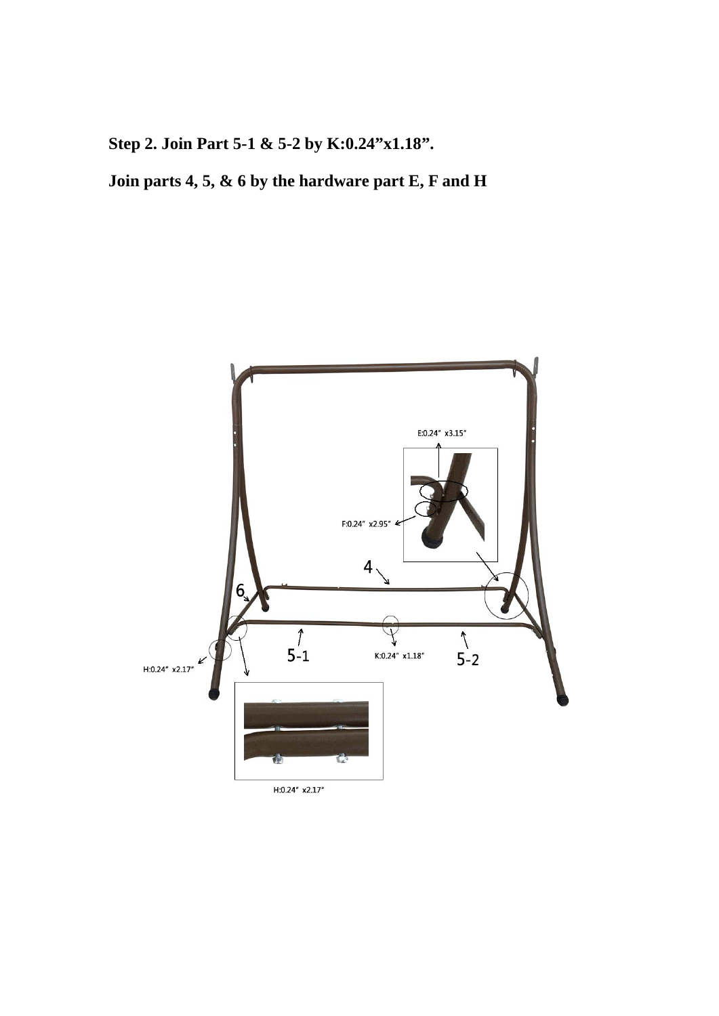**Step 2. Join Part 5-1 & 5-2 by K:0.24"x1.18".**

**Join parts 4, 5, & 6 by the hardware part E, F and H**

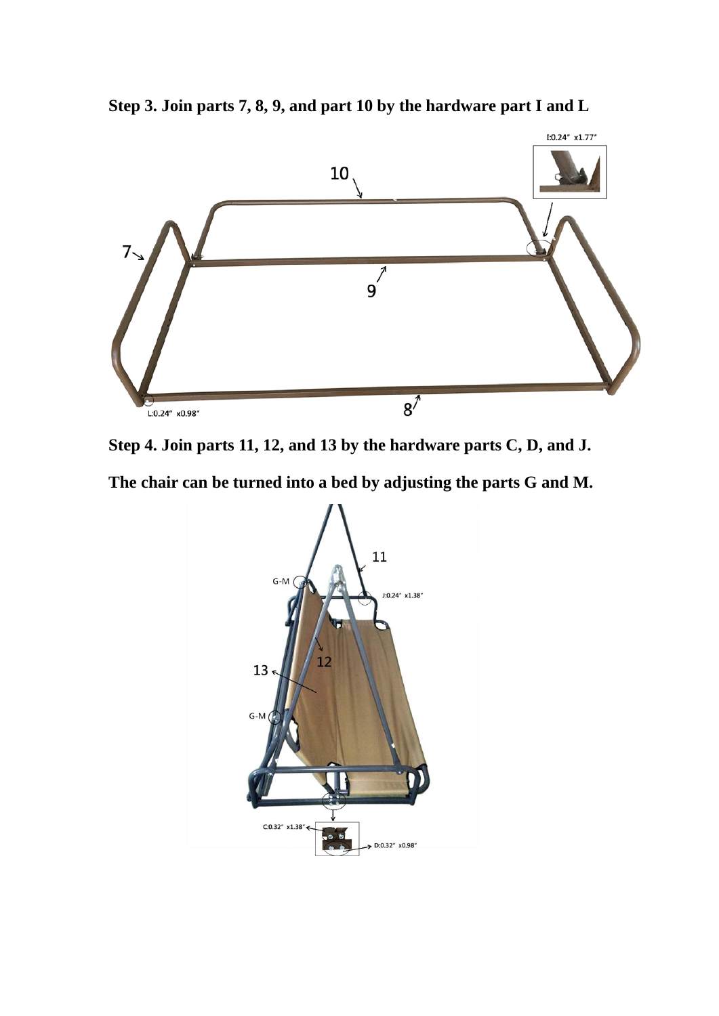

**Step 3. Join parts 7, 8, 9, and part 10 by the hardware part I and L**



**The chair can be turned into a bed by adjusting the parts G and M.**

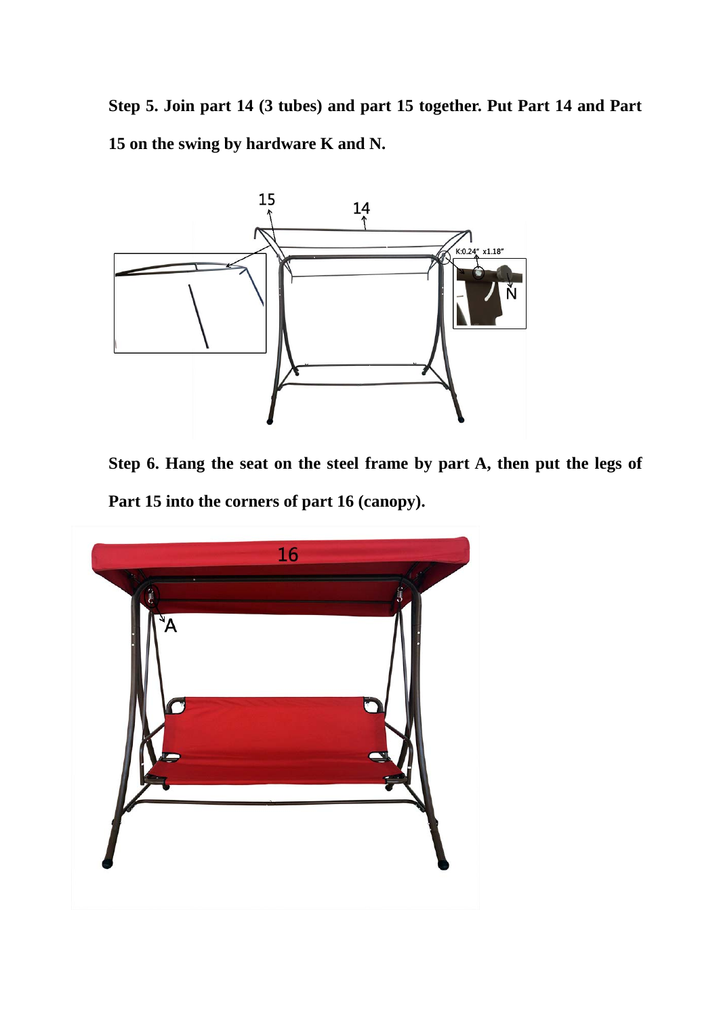**Step 5. Join part 14 (3 tubes) and part 15 together. Put Part 14 and Part 15 on the swing by hardware K and N.**



**Step 6. Hang the seat on the steel frame by part A, then put the legs of Part 15 into the corners of part 16 (canopy).**

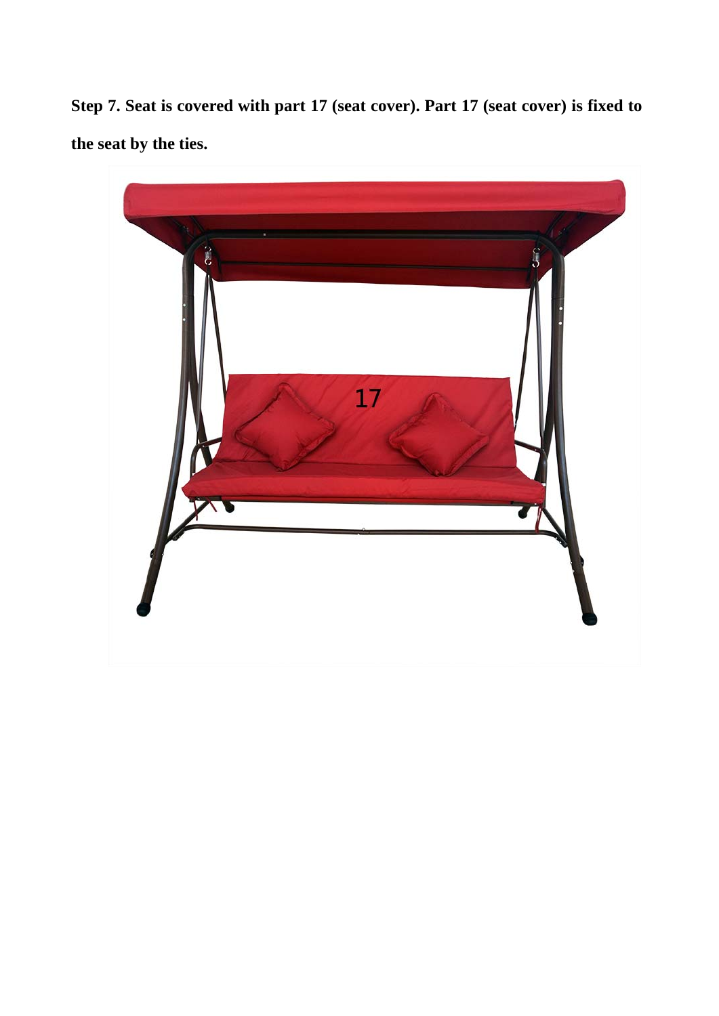**Step 7. Seat is covered with part 17 (seat cover). Part 17 (seat cover) is fixed to the seat by the ties.**

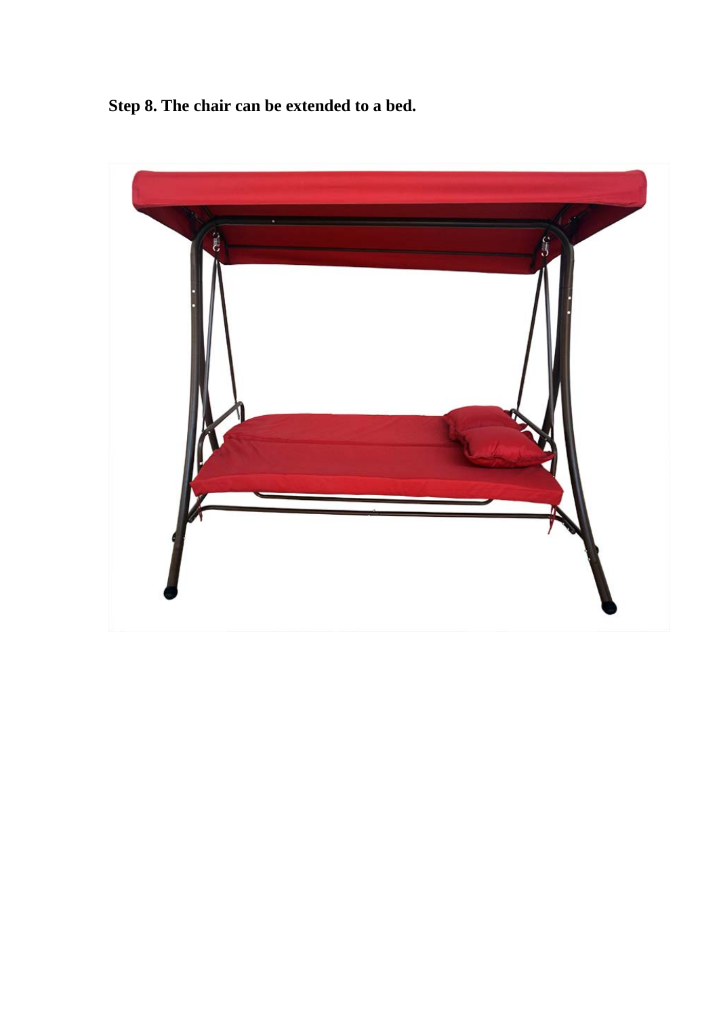**Step 8. The chair can be extended to a bed.**